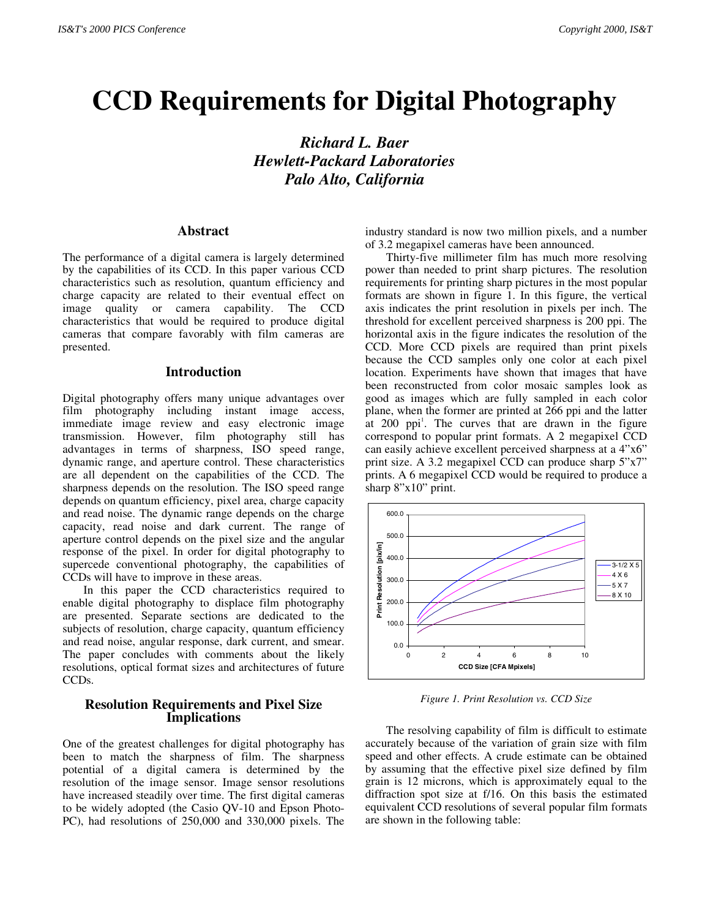# **CCD Requirements for Digital Photography**

*Richard L. Baer Hewlett-Packard Laboratories Palo Alto, California*

### **Abstract**

The performance of a digital camera is largely determined by the capabilities of its CCD. In this paper various CCD characteristics such as resolution, quantum efficiency and charge capacity are related to their eventual effect on image quality or camera capability. The CCD characteristics that would be required to produce digital cameras that compare favorably with film cameras are presented.

#### **Introduction**

Digital photography offers many unique advantages over film photography including instant image access, immediate image review and easy electronic image transmission. However, film photography still has advantages in terms of sharpness, ISO speed range, dynamic range, and aperture control. These characteristics are all dependent on the capabilities of the CCD. The sharpness depends on the resolution. The ISO speed range depends on quantum efficiency, pixel area, charge capacity and read noise. The dynamic range depends on the charge capacity, read noise and dark current. The range of aperture control depends on the pixel size and the angular response of the pixel. In order for digital photography to supercede conventional photography, the capabilities of CCDs will have to improve in these areas.

In this paper the CCD characteristics required to enable digital photography to displace film photography are presented. Separate sections are dedicated to the subjects of resolution, charge capacity, quantum efficiency and read noise, angular response, dark current, and smear. The paper concludes with comments about the likely resolutions, optical format sizes and architectures of future CCDs.

#### **Resolution Requirements and Pixel Size Implications**

One of the greatest challenges for digital photography has been to match the sharpness of film. The sharpness potential of a digital camera is determined by the resolution of the image sensor. Image sensor resolutions have increased steadily over time. The first digital cameras to be widely adopted (the Casio QV-10 and Epson Photo-PC), had resolutions of 250,000 and 330,000 pixels. The

industry standard is now two million pixels, and a number of 3.2 megapixel cameras have been announced.

Thirty-five millimeter film has much more resolving power than needed to print sharp pictures. The resolution requirements for printing sharp pictures in the most popular formats are shown in figure 1. In this figure, the vertical axis indicates the print resolution in pixels per inch. The threshold for excellent perceived sharpness is 200 ppi. The horizontal axis in the figure indicates the resolution of the CCD. More CCD pixels are required than print pixels because the CCD samples only one color at each pixel location. Experiments have shown that images that have been reconstructed from color mosaic samples look as good as images which are fully sampled in each color plane, when the former are printed at 266 ppi and the latter at 200 ppi<sup>1</sup>. The curves that are drawn in the figure correspond to popular print formats. A 2 megapixel CCD can easily achieve excellent perceived sharpness at a 4"x6" print size. A 3.2 megapixel CCD can produce sharp 5"x7" prints. A 6 megapixel CCD would be required to produce a sharp 8"x10" print.



*Figure 1. Print Resolution vs. CCD Size*

The resolving capability of film is difficult to estimate accurately because of the variation of grain size with film speed and other effects. A crude estimate can be obtained by assuming that the effective pixel size defined by film grain is 12 microns, which is approximately equal to the diffraction spot size at f/16. On this basis the estimated equivalent CCD resolutions of several popular film formats are shown in the following table: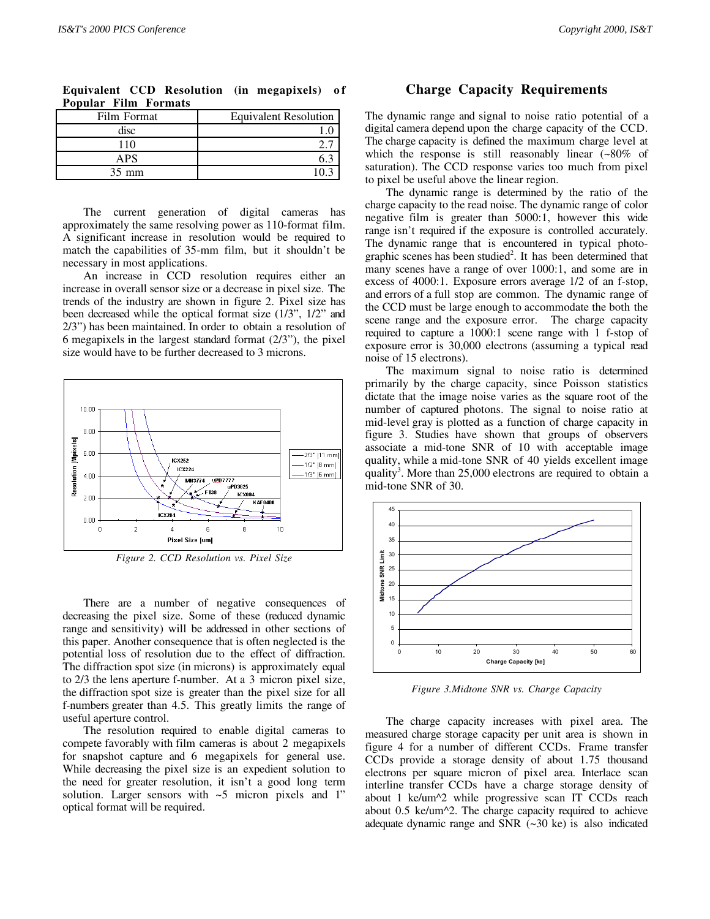| .<br>$\blacksquare$ |                              |
|---------------------|------------------------------|
| Film Format         | <b>Equivalent Resolution</b> |
| disc                |                              |
| 110                 |                              |
| APS                 |                              |
| $35 \text{ mm}$     |                              |

**Equivalent CCD Resolution (in megapixels) of Popular Film Formats**

The current generation of digital cameras has approximately the same resolving power as 110-format film. A significant increase in resolution would be required to match the capabilities of 35-mm film, but it shouldn't be necessary in most applications.

An increase in CCD resolution requires either an increase in overall sensor size or a decrease in pixel size. The trends of the industry are shown in figure 2. Pixel size has been decreased while the optical format size (1/3", 1/2" and 2/3") has been maintained. In order to obtain a resolution of 6 megapixels in the largest standard format (2/3"), the pixel size would have to be further decreased to 3 microns.



*Figure 2. CCD Resolution vs. Pixel Size*

There are a number of negative consequences of decreasing the pixel size. Some of these (reduced dynamic range and sensitivity) will be addressed in other sections of this paper. Another consequence that is often neglected is the potential loss of resolution due to the effect of diffraction. The diffraction spot size (in microns) is approximately equal to 2/3 the lens aperture f-number. At a 3 micron pixel size, the diffraction spot size is greater than the pixel size for all f-numbers greater than 4.5. This greatly limits the range of useful aperture control.

The resolution required to enable digital cameras to compete favorably with film cameras is about 2 megapixels for snapshot capture and 6 megapixels for general use. While decreasing the pixel size is an expedient solution to the need for greater resolution, it isn't a good long term solution. Larger sensors with ~5 micron pixels and 1" optical format will be required.

#### **Charge Capacity Requirements**

The dynamic range and signal to noise ratio potential of a digital camera depend upon the charge capacity of the CCD. The charge capacity is defined the maximum charge level at which the response is still reasonably linear (~80% of saturation). The CCD response varies too much from pixel to pixel be useful above the linear region.

The dynamic range is determined by the ratio of the charge capacity to the read noise. The dynamic range of color negative film is greater than 5000:1, however this wide range isn't required if the exposure is controlled accurately. The dynamic range that is encountered in typical photographic scenes has been studied<sup>2</sup>. It has been determined that many scenes have a range of over 1000:1, and some are in excess of 4000:1. Exposure errors average 1/2 of an f-stop, and errors of a full stop are common. The dynamic range of the CCD must be large enough to accommodate the both the scene range and the exposure error. The charge capacity required to capture a 1000:1 scene range with 1 f-stop of exposure error is 30,000 electrons (assuming a typical read noise of 15 electrons).

The maximum signal to noise ratio is determined primarily by the charge capacity, since Poisson statistics dictate that the image noise varies as the square root of the number of captured photons. The signal to noise ratio at mid-level gray is plotted as a function of charge capacity in figure 3. Studies have shown that groups of observers associate a mid-tone SNR of 10 with acceptable image quality, while a mid-tone SNR of 40 yields excellent image quality<sup>3</sup>. More than 25,000 electrons are required to obtain a mid-tone SNR of 30.



*Figure 3.Midtone SNR vs. Charge Capacity*

The charge capacity increases with pixel area. The measured charge storage capacity per unit area is shown in figure 4 for a number of different CCDs. Frame transfer CCDs provide a storage density of about 1.75 thousand electrons per square micron of pixel area. Interlace scan interline transfer CCDs have a charge storage density of about 1 ke/um^2 while progressive scan IT CCDs reach about 0.5 ke/um^2. The charge capacity required to achieve adequate dynamic range and SNR (~30 ke) is also indicated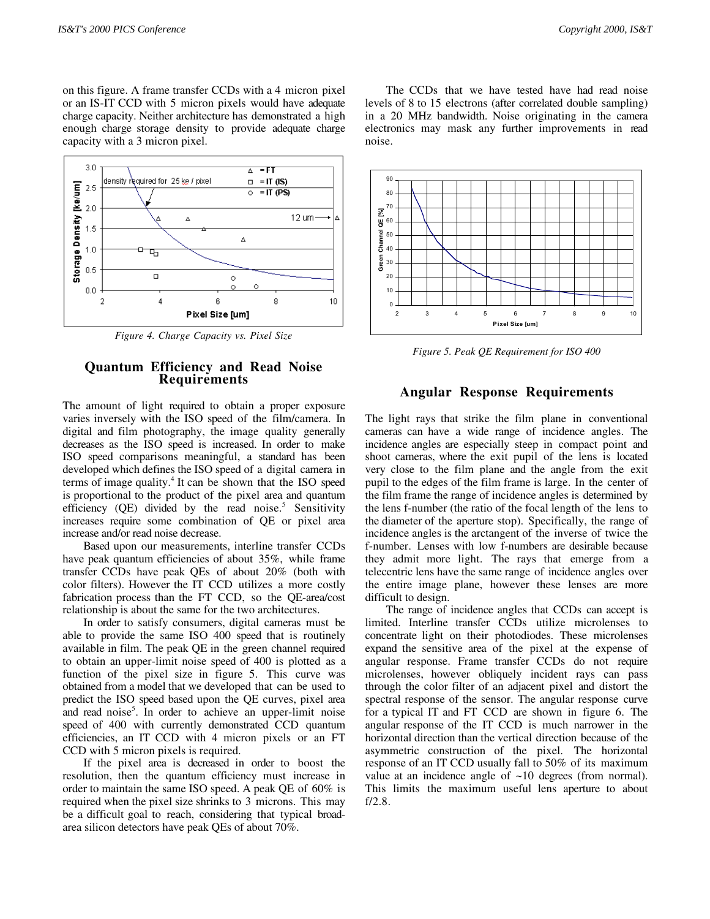on this figure. A frame transfer CCDs with a 4 micron pixel or an IS-IT CCD with 5 micron pixels would have adequate charge capacity. Neither architecture has demonstrated a high enough charge storage density to provide adequate charge capacity with a 3 micron pixel.



*Figure 4. Charge Capacity vs. Pixel Size*

### **Quantum Efficiency and Read Noise Requirements**

The amount of light required to obtain a proper exposure varies inversely with the ISO speed of the film/camera. In digital and film photography, the image quality generally decreases as the ISO speed is increased. In order to make ISO speed comparisons meaningful, a standard has been developed which defines the ISO speed of a digital camera in terms of image quality.<sup>4</sup> It can be shown that the ISO speed is proportional to the product of the pixel area and quantum efficiency (QE) divided by the read noise.<sup>5</sup> Sensitivity increases require some combination of QE or pixel area increase and/or read noise decrease.

Based upon our measurements, interline transfer CCDs have peak quantum efficiencies of about 35%, while frame transfer CCDs have peak QEs of about 20% (both with color filters). However the IT CCD utilizes a more costly fabrication process than the FT CCD, so the QE-area/cost relationship is about the same for the two architectures.

In order to satisfy consumers, digital cameras must be able to provide the same ISO 400 speed that is routinely available in film. The peak QE in the green channel required to obtain an upper-limit noise speed of 400 is plotted as a function of the pixel size in figure 5. This curve was obtained from a model that we developed that can be used to predict the ISO speed based upon the QE curves, pixel area and read noise<sup>5</sup>. In order to achieve an upper-limit noise speed of 400 with currently demonstrated CCD quantum efficiencies, an IT CCD with 4 micron pixels or an FT CCD with 5 micron pixels is required.

If the pixel area is decreased in order to boost the resolution, then the quantum efficiency must increase in order to maintain the same ISO speed. A peak QE of 60% is required when the pixel size shrinks to 3 microns. This may be a difficult goal to reach, considering that typical broadarea silicon detectors have peak QEs of about 70%.

The CCDs that we have tested have had read noise levels of 8 to 15 electrons (after correlated double sampling) in a 20 MHz bandwidth. Noise originating in the camera electronics may mask any further improvements in read noise.



*Figure 5. Peak QE Requirement for ISO 400*

#### **Angular Response Requirements**

The light rays that strike the film plane in conventional cameras can have a wide range of incidence angles. The incidence angles are especially steep in compact point and shoot cameras, where the exit pupil of the lens is located very close to the film plane and the angle from the exit pupil to the edges of the film frame is large. In the center of the film frame the range of incidence angles is determined by the lens f-number (the ratio of the focal length of the lens to the diameter of the aperture stop). Specifically, the range of incidence angles is the arctangent of the inverse of twice the f-number. Lenses with low f-numbers are desirable because they admit more light. The rays that emerge from a telecentric lens have the same range of incidence angles over the entire image plane, however these lenses are more difficult to design.

The range of incidence angles that CCDs can accept is limited. Interline transfer CCDs utilize microlenses to concentrate light on their photodiodes. These microlenses expand the sensitive area of the pixel at the expense of angular response. Frame transfer CCDs do not require microlenses, however obliquely incident rays can pass through the color filter of an adjacent pixel and distort the spectral response of the sensor. The angular response curve for a typical IT and FT CCD are shown in figure 6. The angular response of the IT CCD is much narrower in the horizontal direction than the vertical direction because of the asymmetric construction of the pixel. The horizontal response of an IT CCD usually fall to 50% of its maximum value at an incidence angle of  $\sim$ 10 degrees (from normal). This limits the maximum useful lens aperture to about f/2.8.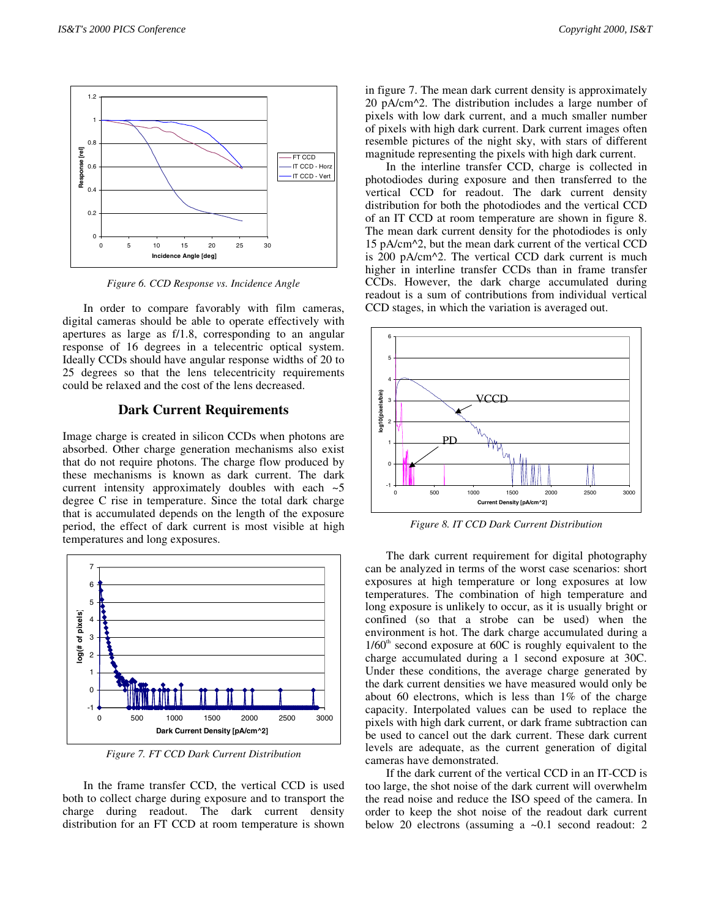

*Figure 6. CCD Response vs. Incidence Angle*

In order to compare favorably with film cameras, digital cameras should be able to operate effectively with apertures as large as f/1.8, corresponding to an angular response of 16 degrees in a telecentric optical system. Ideally CCDs should have angular response widths of 20 to 25 degrees so that the lens telecentricity requirements could be relaxed and the cost of the lens decreased.

#### **Dark Current Requirements**

Image charge is created in silicon CCDs when photons are absorbed. Other charge generation mechanisms also exist that do not require photons. The charge flow produced by these mechanisms is known as dark current. The dark current intensity approximately doubles with each  $\sim$  5 degree C rise in temperature. Since the total dark charge that is accumulated depends on the length of the exposure period, the effect of dark current is most visible at high temperatures and long exposures.



*Figure 7. FT CCD Dark Current Distribution*

In the frame transfer CCD, the vertical CCD is used both to collect charge during exposure and to transport the charge during readout. The dark current density distribution for an FT CCD at room temperature is shown in figure 7. The mean dark current density is approximately 20 pA/cm^2. The distribution includes a large number of pixels with low dark current, and a much smaller number of pixels with high dark current. Dark current images often resemble pictures of the night sky, with stars of different magnitude representing the pixels with high dark current.

In the interline transfer CCD, charge is collected in photodiodes during exposure and then transferred to the vertical CCD for readout. The dark current density distribution for both the photodiodes and the vertical CCD of an IT CCD at room temperature are shown in figure 8. The mean dark current density for the photodiodes is only 15 pA/cm^2, but the mean dark current of the vertical CCD is 200 pA/cm^2. The vertical CCD dark current is much higher in interline transfer CCDs than in frame transfer CCDs. However, the dark charge accumulated during readout is a sum of contributions from individual vertical CCD stages, in which the variation is averaged out.



*Figure 8. IT CCD Dark Current Distribution*

The dark current requirement for digital photography can be analyzed in terms of the worst case scenarios: short exposures at high temperature or long exposures at low temperatures. The combination of high temperature and long exposure is unlikely to occur, as it is usually bright or confined (so that a strobe can be used) when the environment is hot. The dark charge accumulated during a  $1/60<sup>th</sup>$  second exposure at 60C is roughly equivalent to the charge accumulated during a 1 second exposure at 30C. Under these conditions, the average charge generated by the dark current densities we have measured would only be about 60 electrons, which is less than 1% of the charge capacity. Interpolated values can be used to replace the pixels with high dark current, or dark frame subtraction can be used to cancel out the dark current. These dark current levels are adequate, as the current generation of digital cameras have demonstrated.

If the dark current of the vertical CCD in an IT-CCD is too large, the shot noise of the dark current will overwhelm the read noise and reduce the ISO speed of the camera. In order to keep the shot noise of the readout dark current below 20 electrons (assuming a ~0.1 second readout: 2